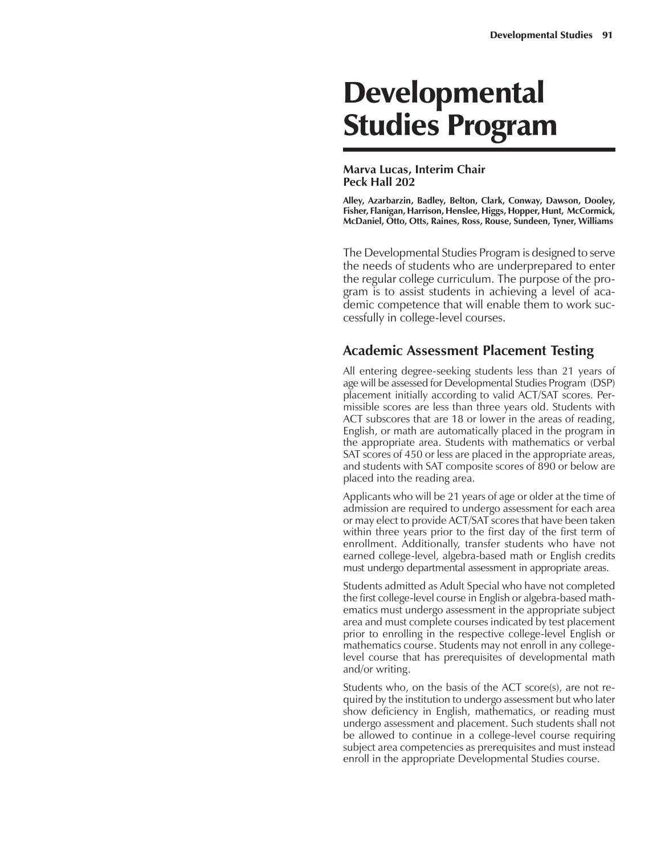# **Developmental** Studies Program

#### **Marva Lucas, Interim Chair Peck Hall 202**

**Alley, Azarbarzin, Badley, Belton, Clark, Conway, Dawson, Dooley, Fisher, Flanigan, Harrison, Henslee, Higgs, Hopper, Hunt, McCormick, McDaniel, Otto, Otts, Raines, Ross, Rouse, Sundeen, Tyner, Williams**

The Developmental Studies Program is designed to serve the needs of students who are underprepared to enter the regular college curriculum. The purpose of the program is to assist students in achieving a level of academic competence that will enable them to work successfully in college-level courses.

#### **Academic Assessment Placement Testing**

All entering degree-seeking students less than 21 years of age will be assessed for Developmental Studies Program (DSP) placement initially according to valid ACT/SAT scores. Permissible scores are less than three years old. Students with ACT subscores that are 18 or lower in the areas of reading, English, or math are automatically placed in the program in the appropriate area. Students with mathematics or verbal SAT scores of 450 or less are placed in the appropriate areas, and students with SAT composite scores of 890 or below are placed into the reading area.

Applicants who will be 21 years of age or older at the time of admission are required to undergo assessment for each area or may elect to provide ACT/SAT scores that have been taken within three years prior to the first day of the first term of enrollment. Additionally, transfer students who have not earned college-level, algebra-based math or English credits must undergo departmental assessment in appropriate areas.

Students admitted as Adult Special who have not completed the first college-level course in English or algebra-based mathematics must undergo assessment in the appropriate subject area and must complete courses indicated by test placement prior to enrolling in the respective college-level English or mathematics course. Students may not enroll in any collegelevel course that has prerequisites of developmental math and/or writing.

Students who, on the basis of the ACT score(s), are not required by the institution to undergo assessment but who later show deficiency in English, mathematics, or reading must undergo assessment and placement. Such students shall not be allowed to continue in a college-level course requiring subject area competencies as prerequisites and must instead enroll in the appropriate Developmental Studies course.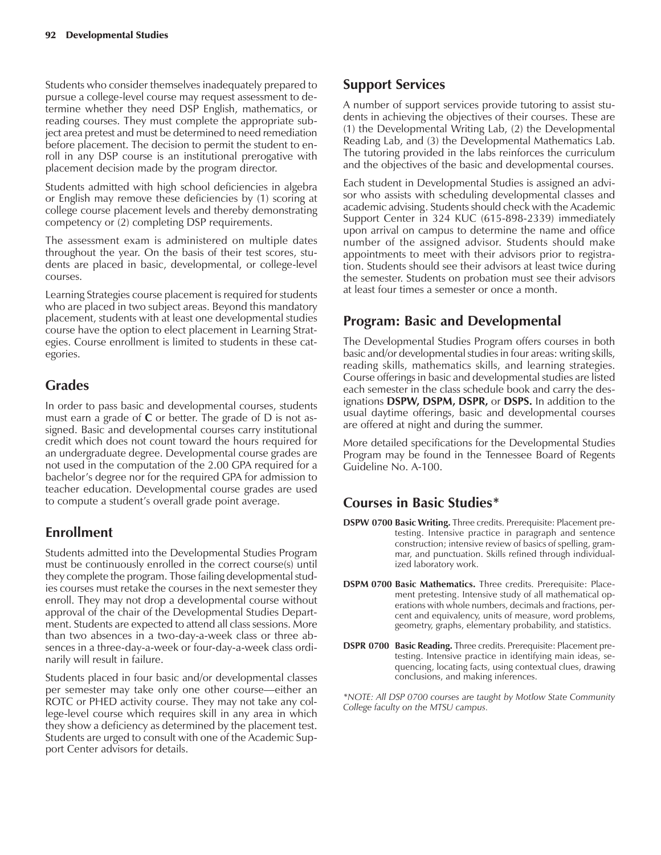Students who consider themselves inadequately prepared to pursue a college-level course may request assessment to determine whether they need DSP English, mathematics, or reading courses. They must complete the appropriate subject area pretest and must be determined to need remediation before placement. The decision to permit the student to enroll in any DSP course is an institutional prerogative with placement decision made by the program director.

Students admitted with high school deficiencies in algebra or English may remove these deficiencies by (1) scoring at college course placement levels and thereby demonstrating competency or (2) completing DSP requirements.

The assessment exam is administered on multiple dates throughout the year. On the basis of their test scores, students are placed in basic, developmental, or college-level courses.

Learning Strategies course placement is required for students who are placed in two subject areas. Beyond this mandatory placement, students with at least one developmental studies course have the option to elect placement in Learning Strategies. Course enrollment is limited to students in these categories.

# **Grades**

In order to pass basic and developmental courses, students must earn a grade of **C** or better. The grade of D is not assigned. Basic and developmental courses carry institutional credit which does not count toward the hours required for an undergraduate degree. Developmental course grades are not used in the computation of the 2.00 GPA required for a bachelor's degree nor for the required GPA for admission to teacher education. Developmental course grades are used to compute a student's overall grade point average.

### **Enrollment**

Students admitted into the Developmental Studies Program must be continuously enrolled in the correct course(s) until they complete the program. Those failing developmental studies courses must retake the courses in the next semester they enroll. They may not drop a developmental course without approval of the chair of the Developmental Studies Department. Students are expected to attend all class sessions. More than two absences in a two-day-a-week class or three absences in a three-day-a-week or four-day-a-week class ordinarily will result in failure.

Students placed in four basic and/or developmental classes per semester may take only one other course—either an ROTC or PHED activity course. They may not take any college-level course which requires skill in any area in which they show a deficiency as determined by the placement test. Students are urged to consult with one of the Academic Support Center advisors for details.

# **Support Services**

A number of support services provide tutoring to assist students in achieving the objectives of their courses. These are (1) the Developmental Writing Lab, (2) the Developmental Reading Lab, and (3) the Developmental Mathematics Lab. The tutoring provided in the labs reinforces the curriculum and the objectives of the basic and developmental courses.

Each student in Developmental Studies is assigned an advisor who assists with scheduling developmental classes and academic advising. Students should check with the Academic Support Center in 324 KUC (615-898-2339) immediately upon arrival on campus to determine the name and office number of the assigned advisor. Students should make appointments to meet with their advisors prior to registration. Students should see their advisors at least twice during the semester. Students on probation must see their advisors at least four times a semester or once a month.

# **Program: Basic and Developmental**

The Developmental Studies Program offers courses in both basic and/or developmental studies in four areas: writing skills, reading skills, mathematics skills, and learning strategies. Course offerings in basic and developmental studies are listed each semester in the class schedule book and carry the designations **DSPW, DSPM, DSPR,** or **DSPS.** In addition to the usual daytime offerings, basic and developmental courses are offered at night and during the summer.

More detailed specifications for the Developmental Studies Program may be found in the Tennessee Board of Regents Guideline No. A-100.

### **Courses in Basic Studies\***

- **DSPW 0700 Basic Writing.** Three credits. Prerequisite: Placement pretesting. Intensive practice in paragraph and sentence construction; intensive review of basics of spelling, grammar, and punctuation. Skills refined through individualized laboratory work.
- **DSPM 0700 Basic Mathematics.** Three credits. Prerequisite: Placement pretesting. Intensive study of all mathematical operations with whole numbers, decimals and fractions, percent and equivalency, units of measure, word problems, geometry, graphs, elementary probability, and statistics.
- **DSPR 0700 Basic Reading.** Three credits. Prerequisite: Placement pretesting. Intensive practice in identifying main ideas, sequencing, locating facts, using contextual clues, drawing conclusions, and making inferences.

*\*NOTE: All DSP 0700 courses are taught by Motlow State Community College faculty on the MTSU campus.*